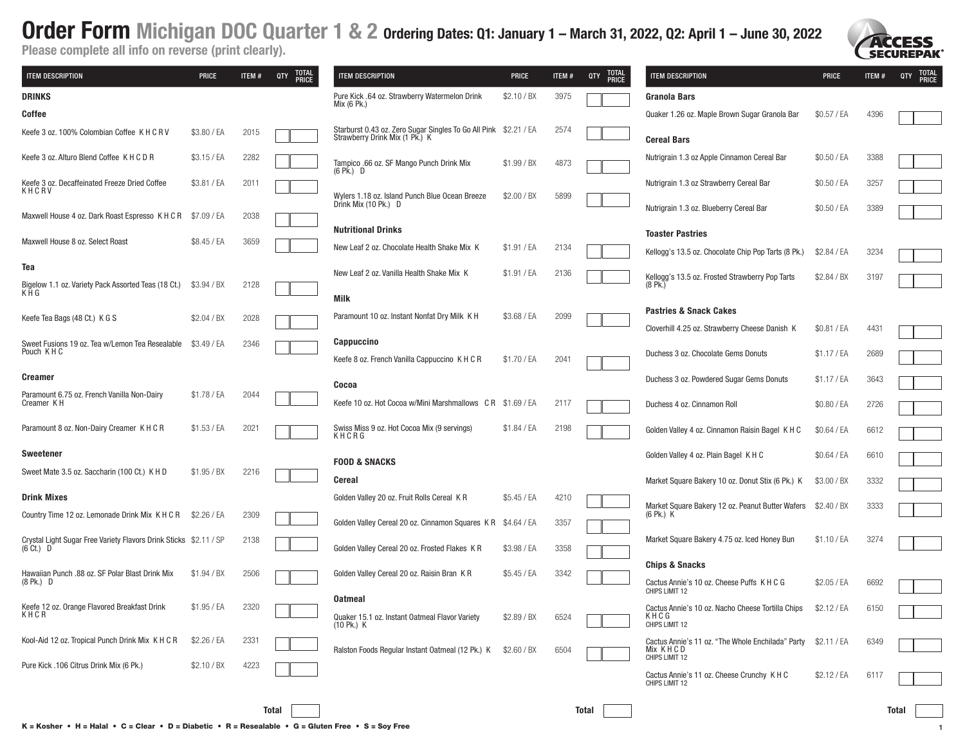

| <b>ITEM DESCRIPTION</b>                                                                  | <b>PRICE</b> | ITEM# | TOTAL<br>QTY<br><b>PRICE</b> | <b>ITEM DESCRIPTION</b>                                                                            | <b>PRICE</b> | <b>ITEM#</b> | <b>TOTAL</b><br>QTY<br><b>PRICE</b> | ITEM DESCRIPTION                                                                            | <b>PRICE</b> | ITEM# | TOTAL<br>PRICE<br>QTY |
|------------------------------------------------------------------------------------------|--------------|-------|------------------------------|----------------------------------------------------------------------------------------------------|--------------|--------------|-------------------------------------|---------------------------------------------------------------------------------------------|--------------|-------|-----------------------|
| <b>DRINKS</b>                                                                            |              |       |                              | Pure Kick .64 oz. Strawberry Watermelon Drink<br>Mix (6 Pk.)                                       | \$2.10 / B X | 3975         |                                     | Granola Bars                                                                                |              |       |                       |
| Coffee                                                                                   |              |       |                              |                                                                                                    |              |              |                                     | Quaker 1.26 oz. Maple Brown Sugar Granola Bar                                               | \$0.57 / EA  | 4396  |                       |
| Keefe 3 oz. 100% Colombian Coffee K H C R V                                              | \$3.80 / EA  | 2015  |                              | Starburst 0.43 oz. Zero Sugar Singles To Go All Pink \$2.21 / EA<br>Strawberry Drink Mix (1 Pk.) K |              | 2574         |                                     | <b>Cereal Bars</b>                                                                          |              |       |                       |
| Keefe 3 oz. Alturo Blend Coffee K H C D R                                                | \$3.15 / EA  | 2282  |                              | Tampico .66 oz. SF Mango Punch Drink Mix<br>$(6 \text{ Pk.})$ D                                    | \$1.99 / B X | 4873         |                                     | Nutrigrain 1.3 oz Apple Cinnamon Cereal Bar                                                 | \$0.50 / EA  | 3388  |                       |
| Keefe 3 oz. Decaffeinated Freeze Dried Coffee<br>KHCRV                                   | \$3.81 / EA  | 2011  |                              | Wylers 1.18 oz. Island Punch Blue Ocean Breeze                                                     | \$2.00 / BX  | 5899         |                                     | Nutrigrain 1.3 oz Strawberry Cereal Bar                                                     | \$0.50 / EA  | 3257  |                       |
| Maxwell House 4 oz. Dark Roast Espresso K H C R                                          | \$7.09 / EA  | 2038  |                              | Drink Mix (10 Pk.) D                                                                               |              |              |                                     | Nutrigrain 1.3 oz. Blueberry Cereal Bar                                                     | \$0.50 / EA  | 3389  |                       |
| Maxwell House 8 oz. Select Roast                                                         | \$8.45 / EA  | 3659  |                              | <b>Nutritional Drinks</b>                                                                          |              |              |                                     | <b>Toaster Pastries</b>                                                                     |              |       |                       |
|                                                                                          |              |       |                              | New Leaf 2 oz. Chocolate Health Shake Mix K                                                        | \$1.91 / EA  | 2134         |                                     | Kellogg's 13.5 oz. Chocolate Chip Pop Tarts (8 Pk.)                                         | \$2.84 / EA  | 3234  |                       |
| Tea<br>Bigelow 1.1 oz. Variety Pack Assorted Teas (18 Ct.)                               | \$3.94 / BX  | 2128  |                              | New Leaf 2 oz. Vanilla Health Shake Mix K                                                          | \$1.91 / EA  | 2136         |                                     | Kellogg's 13.5 oz. Frosted Strawberry Pop Tarts<br>$(8$ Pk.)                                | \$2.84 / B X | 3197  |                       |
| KĂG                                                                                      |              |       |                              | <b>Milk</b>                                                                                        |              |              |                                     |                                                                                             |              |       |                       |
| Keefe Tea Bags (48 Ct.) K G S                                                            | \$2.04 / BX  | 2028  |                              | Paramount 10 oz. Instant Nonfat Dry Milk K H                                                       | \$3.68 / EA  | 2099         |                                     | <b>Pastries &amp; Snack Cakes</b>                                                           |              |       |                       |
| Sweet Fusions 19 oz. Tea w/Lemon Tea Resealable                                          | \$3.49 / EA  | 2346  |                              | <b>Cappuccino</b>                                                                                  |              |              |                                     | Cloverhill 4.25 oz. Strawberry Cheese Danish K                                              | \$0.81 / EA  | 4431  |                       |
| Pouch KHC                                                                                |              |       |                              | Keefe 8 oz. French Vanilla Cappuccino K H C R                                                      | \$1.70 / EA  | 2041         |                                     | Duchess 3 oz. Chocolate Gems Donuts                                                         | \$1.17 / EA  | 2689  |                       |
| <b>Creamer</b>                                                                           |              |       |                              | Cocoa                                                                                              |              |              |                                     | Duchess 3 oz. Powdered Sugar Gems Donuts                                                    | \$1.17 / EA  | 3643  |                       |
| Paramount 6.75 oz. French Vanilla Non-Dairy<br>Creamer KH                                | \$1.78 / EA  | 2044  |                              | Keefe 10 oz. Hot Cocoa w/Mini Marshmallows CR \$1.69 / EA                                          |              | 2117         |                                     | Duchess 4 oz. Cinnamon Roll                                                                 | \$0.80 / EA  | 2726  |                       |
| Paramount 8 oz. Non-Dairy Creamer K H C R                                                | \$1.53 / EA  | 2021  |                              | Swiss Miss 9 oz. Hot Cocoa Mix (9 servings)<br>KHCRG                                               | \$1.84 / EA  | 2198         |                                     | Golden Valley 4 oz. Cinnamon Raisin Bagel K H C                                             | \$0.64 / EA  | 6612  |                       |
| Sweetener                                                                                |              |       |                              |                                                                                                    |              |              |                                     | Golden Valley 4 oz. Plain Bagel K H C                                                       | \$0.64 / EA  | 6610  |                       |
| Sweet Mate 3.5 oz. Saccharin (100 Ct.) K H D                                             | \$1.95 / BX  | 2216  |                              | <b>FOOD &amp; SNACKS</b>                                                                           |              |              |                                     |                                                                                             |              |       |                       |
|                                                                                          |              |       |                              | Cereal                                                                                             |              |              |                                     | Market Square Bakery 10 oz. Donut Stix (6 Pk.) K                                            | \$3.00 / B X | 3332  |                       |
| <b>Drink Mixes</b><br>Country Time 12 oz. Lemonade Drink Mix K H C R \$2.26 / EA         |              | 2309  |                              | Golden Valley 20 oz. Fruit Rolls Cereal KR                                                         | \$5.45 / EA  | 4210         |                                     | Market Square Bakery 12 oz. Peanut Butter Wafers<br>(6 Pk.) K                               | \$2.40 / B X | 3333  |                       |
|                                                                                          |              |       |                              | Golden Valley Cereal 20 oz. Cinnamon Squares KR \$4.64 / EA                                        |              | 3357         |                                     | Market Square Bakery 4.75 oz. Iced Honey Bun                                                | \$1.10 / EA  | 3274  |                       |
| Crystal Light Sugar Free Variety Flavors Drink Sticks \$2.11 / SP<br>$(6 \text{ Ct.})$ D |              | 2138  |                              | Golden Valley Cereal 20 oz. Frosted Flakes KR                                                      | \$3.98 / EA  | 3358         |                                     |                                                                                             |              |       |                       |
| Hawaiian Punch .88 oz. SF Polar Blast Drink Mix                                          | \$1.94 / BX  | 2506  |                              | Golden Valley Cereal 20 oz. Raisin Bran KR                                                         | \$5.45 / EA  | 3342         |                                     | <b>Chips &amp; Snacks</b>                                                                   |              |       |                       |
| $(8$ Pk.) D                                                                              |              |       |                              |                                                                                                    |              |              |                                     | Cactus Annie's 10 oz. Cheese Puffs K H C G<br>CHIPS LIMIT 12                                | \$2.05 / EA  | 6692  |                       |
| Keefe 12 oz. Orange Flavored Breakfast Drink<br><b>KHUK</b>                              | \$1.95 / EA  | 2320  |                              | <b>Oatmeal</b><br>Quaker 15.1 oz. Instant Oatmeal Flavor Variety<br>$(10 \text{ Pk.}) \text{ K}$   | \$2.89 / BX  | 6524         |                                     | Cactus Annie's 10 oz. Nacho Cheese Tortilla Chips<br>KHCG<br>CHIPS LIMIT 12                 | \$2.12 / EA  | 6150  |                       |
| Kool-Aid 12 oz. Tropical Punch Drink Mix K H C R                                         | \$2.26 / EA  | 2331  |                              | Ralston Foods Regular Instant Oatmeal (12 Pk.) K \$2.60 / BX                                       |              | 6504         |                                     | Cactus Annie's 11 oz. "The Whole Enchilada" Party \$2.11 / EA<br>Mix KHCD<br>CHIPS LIMIT 12 |              | 6349  |                       |
| Pure Kick .106 Citrus Drink Mix (6 Pk.)                                                  | \$2.10 / BX  | 4223  |                              |                                                                                                    |              |              |                                     | Cactus Annie's 11 oz. Cheese Crunchy K H C<br>CHIPS LIMIT 12                                | \$2.12 / EA  | 6117  |                       |
|                                                                                          |              |       |                              |                                                                                                    |              |              |                                     |                                                                                             |              |       |                       |
|                                                                                          |              |       | Total                        |                                                                                                    |              |              | Total                               |                                                                                             |              |       | Total                 |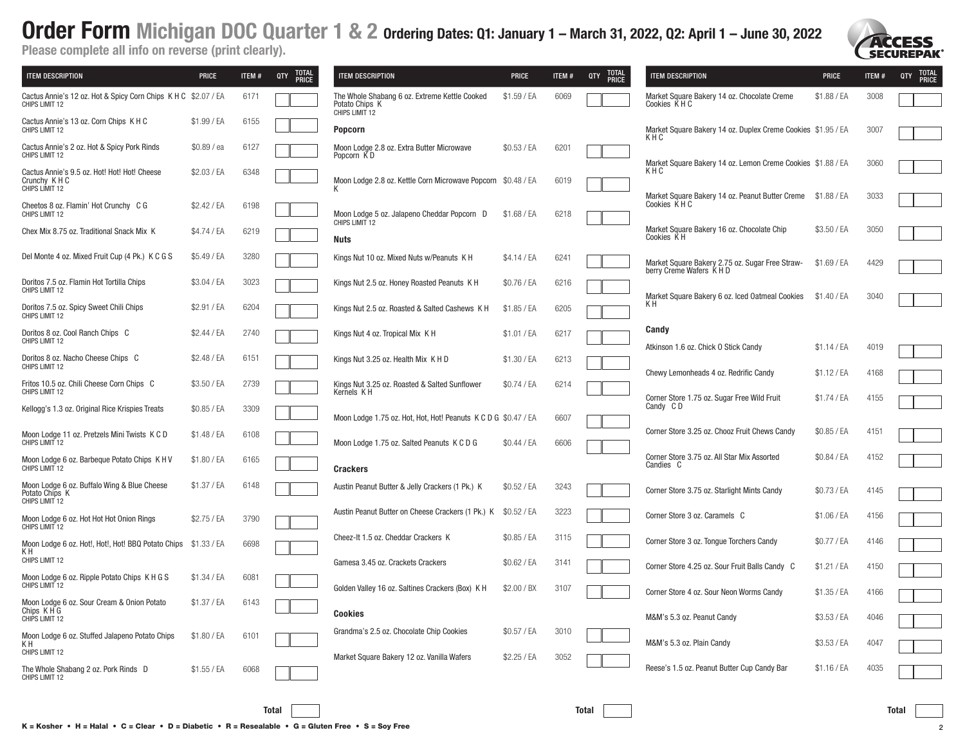| <b>ITEM DESCRIPTION</b>                                                          | <b>PRICE</b> | ITEM# | QTY<br><b>PRICE</b> | <b>ITEM DESCRIPTION</b>                                                           | <b>PRICE</b> | ITEM# | QTY<br><b>PRICE</b> | <b>ITEM DESCRIPTION</b>                                                              | <b>PRICE</b>               | ITEM#        | QTY<br><b>PRICE</b> |
|----------------------------------------------------------------------------------|--------------|-------|---------------------|-----------------------------------------------------------------------------------|--------------|-------|---------------------|--------------------------------------------------------------------------------------|----------------------------|--------------|---------------------|
| Cactus Annie's 12 oz. Hot & Spicy Corn Chips K H C \$2.07 / EA<br>CHIPS LIMIT 12 |              | 6171  |                     | The Whole Shabang 6 oz. Extreme Kettle Cooked<br>Potato Chips K<br>CHIPS LIMIT 12 | \$1.59 / EA  | 6069  |                     | Market Square Bakery 14 oz. Chocolate Creme<br>Cookies KHC                           | \$1.88 / EA                | 3008         |                     |
| Cactus Annie's 13 oz. Corn Chips K H C<br>CHIPS LIMIT 12                         | \$1.99 / EA  | 6155  |                     | <b>Popcorn</b>                                                                    |              |       |                     | Market Square Bakery 14 oz. Duplex Creme Cookies \$1.95 / EA<br>KHC                  |                            | 3007         |                     |
| Cactus Annie's 2 oz. Hot & Spicy Pork Rinds<br>CHIPS LIMIT 12                    | \$0.89 / ea  | 6127  |                     | Moon Lodge 2.8 oz. Extra Butter Microwave<br>Popcorn KD                           | \$0.53 / EA  | 6201  |                     | Market Square Bakery 14 oz. Lemon Creme Cookies \$1.88 / EA                          |                            | 3060         |                     |
| Cactus Annie's 9.5 oz. Hot! Hot! Hot! Cheese<br>Crunchy K H C<br>CHIPS LIMIT 12  | \$2.03 / EA  | 6348  |                     | Moon Lodge 2.8 oz. Kettle Corn Microwave Popcorn \$0.48 / EA                      |              | 6019  |                     | KHC                                                                                  |                            |              |                     |
| Cheetos 8 oz. Flamin' Hot Crunchy C G<br>CHIPS LIMIT 12                          | \$2.42 / EA  | 6198  |                     | Moon Lodge 5 oz. Jalapeno Cheddar Popcorn D                                       | \$1.68 / EA  | 6218  |                     | Market Square Bakery 14 oz. Peanut Butter Creme \$1.88 / EA<br>Cookies KHC           |                            | 3033         |                     |
| Chex Mix 8.75 oz. Traditional Snack Mix K                                        | \$4.74 / EA  | 6219  |                     | CHIPS LIMIT 12<br>Nuts                                                            |              |       |                     | Market Square Bakery 16 oz. Chocolate Chip<br>Cookies KH                             | \$3.50 / EA                | 3050         |                     |
| Del Monte 4 oz. Mixed Fruit Cup (4 Pk.) K C G S                                  | \$5.49 / EA  | 3280  |                     | Kings Nut 10 oz. Mixed Nuts w/Peanuts K H                                         | \$4.14 / EA  | 6241  |                     | Market Square Bakery 2.75 oz. Sugar Free Straw-<br>berry Creme Wafers K H D          | \$1.69 / EA                | 4429         |                     |
| Doritos 7.5 oz. Flamin Hot Tortilla Chips<br>CHIPS LIMIT 12                      | \$3.04 / EA  | 3023  |                     | Kings Nut 2.5 oz. Honey Roasted Peanuts K H                                       | \$0.76 / EA  | 6216  |                     | Market Square Bakery 6 oz. Iced Oatmeal Cookies                                      | \$1.40 / EA                | 3040         |                     |
| Doritos 7.5 oz. Spicy Sweet Chili Chips<br>CHIPS LIMIT 12                        | \$2.91 / EA  | 6204  |                     | Kings Nut 2.5 oz. Roasted & Salted Cashews K H                                    | \$1.85 / EA  | 6205  |                     | KН                                                                                   |                            |              |                     |
| Doritos 8 oz. Cool Ranch Chips C<br>CHIPS LIMIT 12                               | \$2.44 / EA  | 2740  |                     | Kings Nut 4 oz. Tropical Mix K H                                                  | \$1.01 / EA  | 6217  |                     | Candy                                                                                | $$1.14$ / EA               |              |                     |
| Doritos 8 oz. Nacho Cheese Chips C<br>CHIPS LIMIT 12                             | \$2.48 / EA  | 6151  |                     | Kings Nut 3.25 oz. Health Mix K H D                                               | \$1.30 / EA  | 6213  |                     | Atkinson 1.6 oz. Chick O Stick Candy                                                 |                            | 4019         |                     |
| Fritos 10.5 oz. Chili Cheese Corn Chips C<br>CHIPS LIMIT 12                      | \$3.50 / EA  | 2739  |                     | Kings Nut 3.25 oz. Roasted & Salted Sunflower<br>Kernels KH                       | \$0.74 / EA  | 6214  |                     | Chewy Lemonheads 4 oz. Redrific Candy<br>Corner Store 1.75 oz. Sugar Free Wild Fruit | \$1.12 / EA<br>\$1.74 / EA | 4168<br>4155 |                     |
| Kellogg's 1.3 oz. Original Rice Krispies Treats                                  | \$0.85 / EA  | 3309  |                     | Moon Lodge 1.75 oz. Hot, Hot, Hot! Peanuts K C D G \$0.47 / EA                    |              | 6607  |                     | Candy CD                                                                             |                            |              |                     |
| Moon Lodge 11 oz. Pretzels Mini Twists K C D<br>CHIPS LIMIT 12                   | \$1.48 / EA  | 6108  |                     | Moon Lodge 1.75 oz. Salted Peanuts K C D G                                        | \$0.44 / EA  | 6606  |                     | Corner Store 3.25 oz. Chooz Fruit Chews Candy                                        | \$0.85 / EA                | 4151         |                     |
| Moon Lodge 6 oz. Barbeque Potato Chips K H V<br>CHIPS LIMIT 12                   | \$1.80 / EA  | 6165  |                     | <b>Crackers</b>                                                                   |              |       |                     | Corner Store 3.75 oz. All Star Mix Assorted<br>Candies C                             | \$0.84 / EA                | 4152         |                     |
| Moon Lodge 6 oz. Buffalo Wing & Blue Cheese<br>Potato Chips K<br>CHIPS LIMIT 12  | \$1.37 / EA  | 6148  |                     | Austin Peanut Butter & Jelly Crackers (1 Pk.) K                                   | \$0.52 / EA  | 3243  |                     | Corner Store 3.75 oz. Starlight Mints Candy                                          | \$0.73 / EA                | 4145         |                     |
| Moon Lodge 6 oz. Hot Hot Hot Onion Rings<br>CHIPS LIMIT 12                       | \$2.75 / EA  | 3790  |                     | Austin Peanut Butter on Cheese Crackers (1 Pk.) K                                 | \$0.52 / EA  | 3223  |                     | Corner Store 3 oz. Caramels C                                                        | \$1.06 / EA                | 4156         |                     |
| Moon Lodge 6 oz. Hot!, Hot!, Hot! BBQ Potato Chips<br>K H                        | \$1.33 / EA  | 6698  |                     | Cheez-It 1.5 oz. Cheddar Crackers K                                               | \$0.85 / EA  | 3115  |                     | Corner Store 3 oz. Tongue Torchers Candy                                             | \$0.77 / EA                | 4146         |                     |
| CHIPS LIMIT 12                                                                   |              |       |                     | Gamesa 3.45 oz. Crackets Crackers                                                 | \$0.62 / EA  | 3141  |                     | Corner Store 4.25 oz. Sour Fruit Balls Candy C                                       | \$1.21 / EA                | 4150         |                     |
| Moon Lodge 6 oz. Ripple Potato Chips K H G S<br>CHIPS LIMIT 12                   | \$1.34 / EA  | 6081  |                     | Golden Valley 16 oz. Saltines Crackers (Box) K H                                  | \$2.00 / BX  | 3107  |                     | Corner Store 4 oz. Sour Neon Worms Candy                                             | \$1.35 / EA                | 4166         |                     |
| Moon Lodge 6 oz. Sour Cream & Onion Potato<br>Chips KHG<br>CHIPS LIMIT 12        | \$1.37 / EA  | 6143  |                     | <b>Cookies</b>                                                                    |              |       |                     | M&M's 5.3 oz. Peanut Candy                                                           | \$3.53 / EA                | 4046         |                     |
| Moon Lodge 6 oz. Stuffed Jalapeno Potato Chips<br>K H                            | \$1.80 / EA  | 6101  |                     | Grandma's 2.5 oz. Chocolate Chip Cookies                                          | \$0.57 / EA  | 3010  |                     | M&M's 5.3 oz. Plain Candy                                                            | \$3.53 / EA                | 4047         |                     |
| CHIPS LIMIT 12<br>The Whole Shabang 2 oz. Pork Rinds D                           | \$1.55 / EA  | 6068  |                     | Market Square Bakery 12 oz. Vanilla Wafers                                        | \$2.25 / EA  | 3052  |                     | Reese's 1.5 oz. Peanut Butter Cup Candy Bar                                          | $$1.16$ / EA               | 4035         |                     |
| CHIPS LIMIT 12                                                                   |              |       |                     |                                                                                   |              |       |                     |                                                                                      |                            |              |                     |

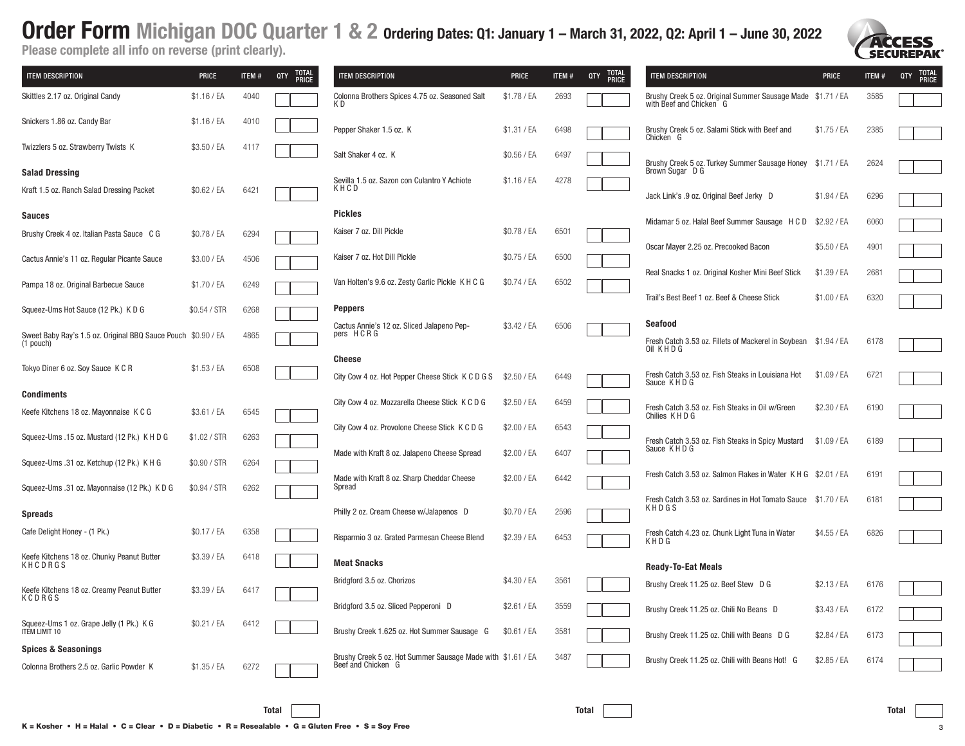**SECUREPAK** 

| <b>ITEM DESCRIPTION</b>                                                      | PRICE        | ITEM# | <b>TOTAL<br/>PRICE</b><br>QTY | <b>ITEM DESCRIPTION</b>                                                           | <b>PRICE</b> | ITEM # | <b>TOTAL</b><br>QTY<br><b>PRICE</b> | <b>ITEM DESCRIPTION</b>                                                                       | <b>PRICE</b> | ITEM# | <b>TOTAL</b><br>PRICE<br>QTY |
|------------------------------------------------------------------------------|--------------|-------|-------------------------------|-----------------------------------------------------------------------------------|--------------|--------|-------------------------------------|-----------------------------------------------------------------------------------------------|--------------|-------|------------------------------|
| Skittles 2.17 oz. Original Candy                                             | \$1.16 / EA  | 4040  |                               | Colonna Brothers Spices 4.75 oz. Seasoned Salt<br>K D                             | \$1.78 / EA  | 2693   |                                     | Brushy Creek 5 oz. Original Summer Sausage Made \$1.71 / EA<br>with Beef and Chicken G        |              | 3585  |                              |
| Snickers 1.86 oz. Candy Bar                                                  | \$1.16 / EA  | 4010  |                               | Pepper Shaker 1.5 oz. K                                                           | \$1.31 / EA  | 6498   |                                     | Brushy Creek 5 oz. Salami Stick with Beef and<br>Chicken G                                    | \$1.75 / EA  | 2385  |                              |
| Twizzlers 5 oz. Strawberry Twists K                                          | \$3.50 / EA  | 4117  |                               | Salt Shaker 4 oz. K                                                               | \$0.56 / EA  | 6497   |                                     | Brushy Creek 5 oz. Turkey Summer Sausage Honey                                                | \$1.71 / EA  | 2624  |                              |
| <b>Salad Dressing</b>                                                        |              |       |                               | Sevilla 1.5 oz. Sazon con Culantro Y Achiote                                      | \$1.16 / EA  | 4278   |                                     | Brown Sugar D G                                                                               |              |       |                              |
| Kraft 1.5 oz. Ranch Salad Dressing Packet                                    | \$0.62 / EA  | 6421  |                               | KHCD                                                                              |              |        |                                     | Jack Link's .9 oz. Original Beef Jerky D                                                      | \$1.94 / EA  | 6296  |                              |
| <b>Sauces</b>                                                                |              |       |                               | <b>Pickles</b>                                                                    |              |        |                                     | Midamar 5 oz. Halal Beef Summer Sausage H C D                                                 | \$2.92 / EA  | 6060  |                              |
| Brushy Creek 4 oz. Italian Pasta Sauce C G                                   | \$0.78 / EA  | 6294  |                               | Kaiser 7 oz. Dill Pickle                                                          | \$0.78 / EA  | 6501   |                                     |                                                                                               |              |       |                              |
| Cactus Annie's 11 oz. Regular Picante Sauce                                  | \$3.00 / EA  | 4506  |                               | Kaiser 7 oz. Hot Dill Pickle                                                      | \$0.75 / EA  | 6500   |                                     | Oscar Mayer 2.25 oz. Precooked Bacon                                                          | \$5.50 / EA  | 4901  |                              |
| Pampa 18 oz. Original Barbecue Sauce                                         | \$1.70 / EA  | 6249  |                               | Van Holten's 9.6 oz. Zesty Garlic Pickle K H C G                                  | \$0.74 / EA  | 6502   |                                     | Real Snacks 1 oz. Original Kosher Mini Beef Stick                                             | \$1.39 / EA  | 2681  |                              |
| Squeez-Ums Hot Sauce (12 Pk.) K D G                                          | \$0.54 / STR | 6268  |                               | <b>Peppers</b>                                                                    |              |        |                                     | Trail's Best Beef 1 oz. Beef & Cheese Stick                                                   | \$1.00 / EA  | 6320  |                              |
| Sweet Baby Ray's 1.5 oz. Original BBQ Sauce Pouch \$0.90 / EA<br>$(1$ pouch) |              | 4865  |                               | Cactus Annie's 12 oz. Sliced Jalapeno Pep-<br>pers HCRG                           | \$3.42 / EA  | 6506   |                                     | <b>Seafood</b><br>Fresh Catch 3.53 oz. Fillets of Mackerel in Soybean \$1.94 / EA<br>Oil KHDG |              | 6178  |                              |
|                                                                              |              |       |                               | <b>Cheese</b>                                                                     |              |        |                                     |                                                                                               |              |       |                              |
| Tokyo Diner 6 oz. Soy Sauce K C R                                            | \$1.53 / EA  | 6508  |                               | City Cow 4 oz. Hot Pepper Cheese Stick K C D G S                                  | \$2.50 / EA  | 6449   |                                     | Fresh Catch 3.53 oz. Fish Steaks in Louisiana Hot<br>Sauce KHDG                               | \$1.09 / EA  | 6721  |                              |
| <b>Condiments</b>                                                            |              |       |                               | City Cow 4 oz. Mozzarella Cheese Stick K C D G                                    | \$2.50 / EA  | 6459   |                                     |                                                                                               |              |       |                              |
| Keefe Kitchens 18 oz. Mayonnaise K C G                                       | \$3.61 / EA  | 6545  |                               | City Cow 4 oz. Provolone Cheese Stick K C D G                                     | \$2.00 / EA  | 6543   |                                     | Fresh Catch 3.53 oz. Fish Steaks in Oil w/Green<br>Chilies KHD G                              | \$2.30 / EA  | 6190  |                              |
| Squeez-Ums .15 oz. Mustard (12 Pk.) K H D G                                  | \$1.02 / STR | 6263  |                               | Made with Kraft 8 oz. Jalapeno Cheese Spread                                      | \$2.00 / EA  | 6407   |                                     | Fresh Catch 3.53 oz. Fish Steaks in Spicy Mustard<br>Sauce KHDG                               | \$1.09 / EA  | 6189  |                              |
| Squeez-Ums .31 oz. Ketchup (12 Pk.) K H G                                    | \$0.90 / STR | 6264  |                               |                                                                                   |              |        |                                     |                                                                                               |              |       |                              |
| Squeez-Ums .31 oz. Mayonnaise (12 Pk.) K D G                                 | \$0.94 / STR | 6262  |                               | Made with Kraft 8 oz. Sharp Cheddar Cheese<br>Spread                              | \$2.00 / EA  | 6442   |                                     | Fresh Catch 3.53 oz. Salmon Flakes in Water K H G \$2.01 / EA                                 |              | 6191  |                              |
| <b>Spreads</b>                                                               |              |       |                               | Philly 2 oz. Cream Cheese w/Jalapenos D                                           | \$0.70 / EA  | 2596   |                                     | Fresh Catch 3.53 oz. Sardines in Hot Tomato Sauce<br>KHDGS                                    | \$1.70 / EA  | 6181  |                              |
| Cafe Delight Honey - (1 Pk.)                                                 | \$0.17 / EA  | 6358  |                               | Risparmio 3 oz. Grated Parmesan Cheese Blend                                      | \$2.39 / EA  | 6453   |                                     | Fresh Catch 4.23 oz. Chunk Light Tuna in Water<br>KHDG                                        | \$4.55 / EA  | 6826  |                              |
| Keefe Kitchens 18 oz. Chunky Peanut Butter<br>KHCDRGS                        | \$3.39 / EA  | 6418  |                               | <b>Meat Snacks</b>                                                                |              |        |                                     | <b>Ready-To-Eat Meals</b>                                                                     |              |       |                              |
| Keefe Kitchens 18 oz. Creamy Peanut Butter<br>KCDRGS                         | \$3.39 / EA  | 6417  |                               | Bridgford 3.5 oz. Chorizos                                                        | \$4.30 / EA  | 3561   |                                     | Brushy Creek 11.25 oz. Beef Stew D G                                                          | \$2.13 / EA  | 6176  |                              |
|                                                                              | \$0.21 / EA  |       |                               | Bridgford 3.5 oz. Sliced Pepperoni D                                              | \$2.61 / EA  | 3559   |                                     | Brushy Creek 11.25 oz. Chili No Beans D                                                       | \$3.43 / EA  | 6172  |                              |
| Squeez-Ums 1 oz. Grape Jelly (1 Pk.) K G<br>ITEM LIMIT 10                    |              | 6412  |                               | Brushy Creek 1.625 oz. Hot Summer Sausage G                                       | \$0.61 / EA  | 3581   |                                     | Brushy Creek 11.25 oz. Chili with Beans D G                                                   | \$2.84 / EA  | 6173  |                              |
| <b>Spices &amp; Seasonings</b>                                               |              |       |                               |                                                                                   |              |        |                                     |                                                                                               |              |       |                              |
| Colonna Brothers 2.5 oz. Garlic Powder K                                     | \$1.35 / EA  | 6272  |                               | Brushy Creek 5 oz. Hot Summer Sausage Made with \$1.61 / EA<br>Beef and Chicken G |              | 3487   |                                     | Brushy Creek 11.25 oz. Chili with Beans Hot! G                                                | \$2.85 / EA  | 6174  |                              |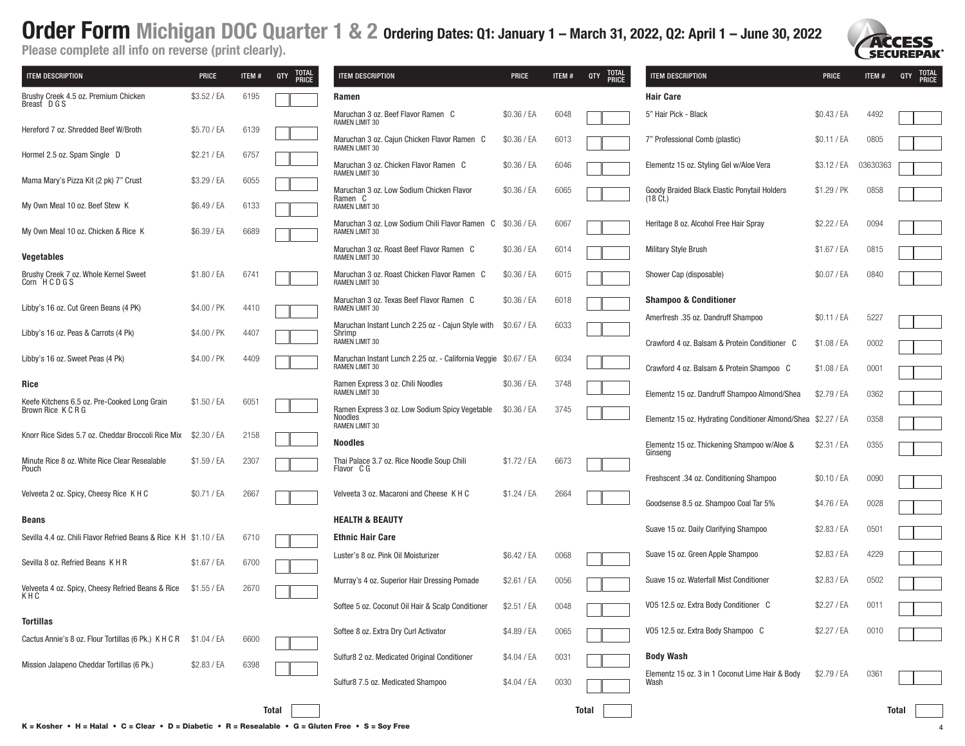**SECUREPAK** 

| <b>ITEM DESCRIPTION</b>                                            | <b>PRICE</b> | ITEM# | <b>TOTAL</b><br>QTY<br><b>PRICE</b> | ITEM DESCRIPTION                                                                    | <b>PRICE</b> | <b>ITEM#</b> | TOTAL<br><b>QTY</b><br><b>PRICE</b> | <b>ITEM DESCRIPTION</b>                                       | <b>PRICE</b> | ITEM#    | TOTAL<br>PRICE<br>QTY |
|--------------------------------------------------------------------|--------------|-------|-------------------------------------|-------------------------------------------------------------------------------------|--------------|--------------|-------------------------------------|---------------------------------------------------------------|--------------|----------|-----------------------|
| Brushy Creek 4.5 oz. Premium Chicken<br>Breast DGS                 | \$3.52 / EA  | 6195  |                                     | Ramen                                                                               |              |              |                                     | <b>Hair Care</b>                                              |              |          |                       |
|                                                                    |              |       |                                     | Maruchan 3 oz. Beef Flavor Ramen C<br><b>RAMEN LIMIT 30</b>                         | \$0.36 / EA  | 6048         |                                     | 5" Hair Pick - Black                                          | \$0.43 / EA  | 4492     |                       |
| Hereford 7 oz. Shredded Beef W/Broth                               | \$5.70 / EA  | 6139  |                                     | Maruchan 3 oz. Cajun Chicken Flavor Ramen C<br><b>RAMEN LIMIT 30</b>                | \$0.36 / EA  | 6013         |                                     | 7" Professional Comb (plastic)                                | \$0.11 / EA  | 0805     |                       |
| Hormel 2.5 oz. Spam Single D                                       | \$2.21 / EA  | 6757  |                                     | Maruchan 3 oz. Chicken Flavor Ramen C<br><b>RAMEN LIMIT 30</b>                      | \$0.36 / EA  | 6046         |                                     | Elementz 15 oz. Styling Gel w/Aloe Vera                       | \$3.12 / EA  | 03630363 |                       |
| Mama Mary's Pizza Kit (2 pk) 7" Crust                              | \$3.29 / EA  | 6055  |                                     | Maruchan 3 oz. Low Sodium Chicken Flavor                                            | \$0.36 / EA  | 6065         |                                     | Goody Braided Black Elastic Ponytail Holders                  | \$1.29 / PK  | 0858     |                       |
| My Own Meal 10 oz. Beef Stew K                                     | \$6.49 / EA  | 6133  |                                     | Ramen C<br><b>RAMEN LIMIT 30</b>                                                    |              |              |                                     | $(18 \text{ C}t)$                                             |              |          |                       |
| My Own Meal 10 oz. Chicken & Rice K                                | \$6.39 / EA  | 6689  |                                     | Maruchan 3 oz. Low Sodium Chili Flavor Ramen C \$0.36 / EA<br><b>RAMEN LIMIT 30</b> |              | 6067         |                                     | Heritage 8 oz. Alcohol Free Hair Spray                        | \$2.22 / EA  | 0094     |                       |
| <b>Vegetables</b>                                                  |              |       |                                     | Maruchan 3 oz. Roast Beef Flavor Ramen C<br>RAMEN LIMIT 30                          | \$0.36 / EA  | 6014         |                                     | <b>Military Style Brush</b>                                   | \$1.67 / EA  | 0815     |                       |
| Brushy Creek 7 oz. Whole Kernel Sweet<br>Corn HCDGS                | \$1.80 / EA  | 6741  |                                     | Maruchan 3 oz. Roast Chicken Flavor Ramen C<br>RAMEN LIMIT 30                       | \$0.36 / EA  | 6015         |                                     | Shower Cap (disposable)                                       | \$0.07 / EA  | 0840     |                       |
| Libby's 16 oz. Cut Green Beans (4 PK)                              | \$4.00 / PK  | 4410  |                                     | Maruchan 3 oz. Texas Beef Flavor Ramen C<br>RAMEN LIMIT 30                          | \$0.36 / EA  | 6018         |                                     | <b>Shampoo &amp; Conditioner</b>                              |              |          |                       |
| Libby's 16 oz. Peas & Carrots (4 Pk)                               | \$4.00 / PK  | 4407  |                                     | Maruchan Instant Lunch 2.25 oz - Cajun Style with<br>Shrimp                         | \$0.67 / EA  | 6033         |                                     | Amerfresh .35 oz. Dandruff Shampoo                            | \$0.11 / EA  | 5227     |                       |
|                                                                    |              |       |                                     | RAMEN LIMIT 30                                                                      |              |              |                                     | Crawford 4 oz. Balsam & Protein Conditioner C                 | \$1.08 / EA  | 0002     |                       |
| Libby's 16 oz. Sweet Peas (4 Pk)                                   | \$4.00 / PK  | 4409  |                                     | Maruchan Instant Lunch 2.25 oz. - California Veggie \$0.67 / EA<br>RAMEN LIMIT 30   |              | 6034         |                                     | Crawford 4 oz. Balsam & Protein Shampoo C                     | \$1.08 / EA  | 0001     |                       |
| Rice                                                               |              |       |                                     | Ramen Express 3 oz. Chili Noodles<br><b>RAMEN LIMIT 30</b>                          | \$0.36 / EA  | 3748         |                                     | Elementz 15 oz. Dandruff Shampoo Almond/Shea                  | \$2.79 / EA  | 0362     |                       |
| Keefe Kitchens 6.5 oz. Pre-Cooked Long Grain<br>Brown Rice K C R G | \$1.50 / EA  | 6051  |                                     | Ramen Express 3 oz. Low Sodium Spicy Vegetable<br>Noodles                           | \$0.36 / EA  | 3745         |                                     | Elementz 15 oz. Hydrating Conditioner Almond/Shea \$2.27 / EA |              | 0358     |                       |
| Knorr Rice Sides 5.7 oz. Cheddar Broccoli Rice Mix                 | \$2.30 / EA  | 2158  |                                     | <b>RAMEN LIMIT 30</b><br><b>Noodles</b>                                             |              |              |                                     |                                                               |              |          |                       |
| Minute Rice 8 oz. White Rice Clear Resealable<br>Pouch             | \$1.59 / EA  | 2307  |                                     | Thai Palace 3.7 oz. Rice Noodle Soup Chili<br>Flavor C G                            | \$1.72 / EA  | 6673         |                                     | Elementz 15 oz. Thickening Shampoo w/Aloe &<br>Ginseng        | \$2.31 / EA  | 0355     |                       |
|                                                                    |              |       |                                     |                                                                                     |              |              |                                     | Freshscent .34 oz. Conditioning Shampoo                       | \$0.10 / EA  | 0090     |                       |
| Velveeta 2 oz. Spicy, Cheesy Rice K H C                            | \$0.71 / EA  | 2667  |                                     | Velveeta 3 oz. Macaroni and Cheese K H C                                            | \$1.24 / EA  | 2664         |                                     | Goodsense 8.5 oz. Shampoo Coal Tar 5%                         | \$4.76 / EA  | 0028     |                       |
| <b>Beans</b>                                                       |              |       |                                     | <b>HEALTH &amp; BEAUTY</b>                                                          |              |              |                                     | Suave 15 oz. Daily Clarifying Shampoo                         | \$2.83 / EA  | 0501     |                       |
| Sevilla 4.4 oz. Chili Flavor Refried Beans & Rice K H \$1.10 / EA  |              | 6710  |                                     | <b>Ethnic Hair Care</b>                                                             |              |              |                                     |                                                               |              |          |                       |
| Sevilla 8 oz. Refried Beans K H R                                  | \$1.67 / EA  | 6700  |                                     | Luster's 8 oz. Pink Oil Moisturizer                                                 | \$6.42 / EA  | 0068         |                                     | Suave 15 oz. Green Apple Shampoo                              | \$2.83 / EA  | 4229     |                       |
| Velveeta 4 oz. Spicy, Cheesy Refried Beans & Rice                  | \$1.55 / EA  | 2670  |                                     | Murray's 4 oz. Superior Hair Dressing Pomade                                        | \$2.61 / EA  | 0056         |                                     | Suave 15 oz. Waterfall Mist Conditioner                       | \$2.83 / EA  | 0502     |                       |
| KHC                                                                |              |       |                                     | Softee 5 oz. Coconut Oil Hair & Scalp Conditioner                                   | \$2.51 / EA  | 0048         |                                     | VO5 12.5 oz. Extra Body Conditioner C                         | \$2.27 / EA  | 0011     |                       |
| <b>Tortillas</b>                                                   |              |       |                                     | Softee 8 oz. Extra Dry Curl Activator                                               | \$4.89 / EA  | 0065         |                                     | VO5 12.5 oz. Extra Body Shampoo C                             | \$2.27 / EA  | 0010     |                       |
| Cactus Annie's 8 oz. Flour Tortillas (6 Pk.) K H C R \$1.04 / EA   |              | 6600  |                                     | Sulfur8 2 oz. Medicated Original Conditioner                                        | \$4.04 / EA  | 0031         |                                     | <b>Body Wash</b>                                              |              |          |                       |
| Mission Jalapeno Cheddar Tortillas (6 Pk.)                         | \$2.83 / EA  | 6398  |                                     |                                                                                     |              |              |                                     | Elementz 15 oz. 3 in 1 Coconut Lime Hair & Body               | \$2.79 / EA  | 0361     |                       |
|                                                                    |              |       |                                     | Sulfur8 7.5 oz. Medicated Shampoo                                                   | \$4.04 / EA  | 0030         |                                     | Wash                                                          |              |          |                       |
|                                                                    |              |       | Total                               |                                                                                     |              |              | Total                               |                                                               |              |          | Total                 |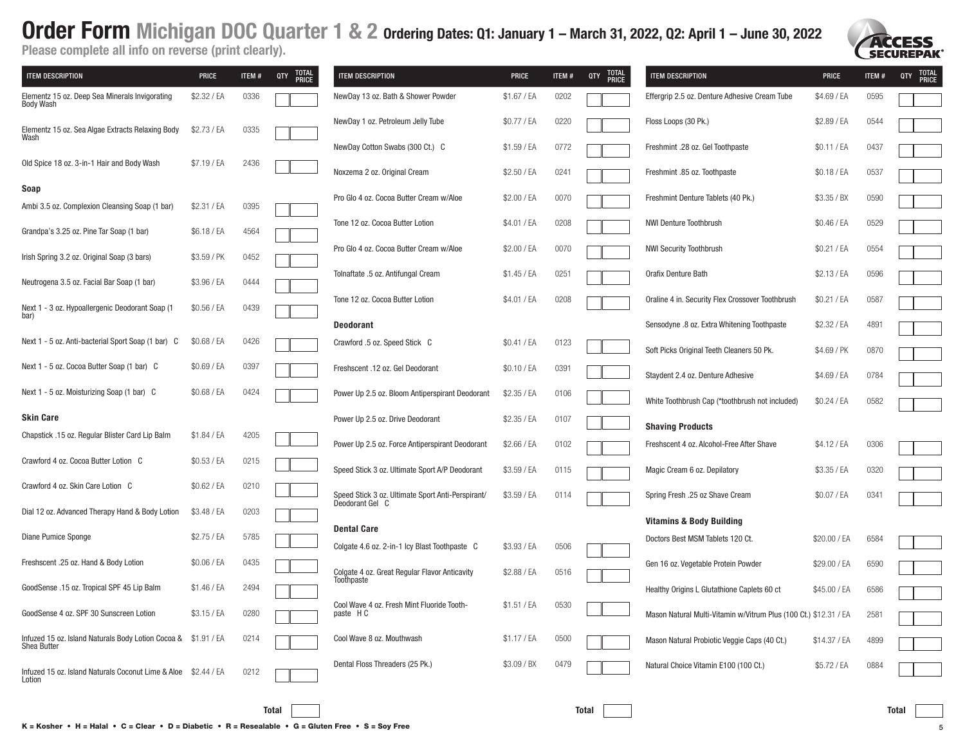**SECUREPAK** 

| <b>ITEM DESCRIPTION</b>                                                              | <b>PRICE</b> | ITEM# | <b>TOTAL<br/>PRICE</b><br>QTY | <b>ITEM DESCRIPTION</b>                                              | <b>PRICE</b> | ITEM # | <b>TOTAL</b><br>PRICE<br>QTY | <b>ITEM DESCRIPTION</b>                                              | <b>PRICE</b> | ITEM# | <b>TOTAL</b><br>PRICE<br>QTY |
|--------------------------------------------------------------------------------------|--------------|-------|-------------------------------|----------------------------------------------------------------------|--------------|--------|------------------------------|----------------------------------------------------------------------|--------------|-------|------------------------------|
| Elementz 15 oz. Deep Sea Minerals Invigorating<br><b>Body Wash</b>                   | \$2.32 / EA  | 0336  |                               | NewDay 13 oz. Bath & Shower Powder                                   | \$1.67 / EA  | 0202   |                              | Effergrip 2.5 oz. Denture Adhesive Cream Tube                        | \$4.69 / EA  | 0595  |                              |
| Elementz 15 oz. Sea Algae Extracts Relaxing Body<br>Wash                             | \$2.73 / EA  | 0335  |                               | NewDay 1 oz. Petroleum Jelly Tube                                    | \$0.77 / EA  | 0220   |                              | Floss Loops (30 Pk.)                                                 | \$2.89 / EA  | 0544  |                              |
|                                                                                      |              |       |                               | NewDay Cotton Swabs (300 Ct.) C                                      | \$1.59 / EA  | 0772   |                              | Freshmint .28 oz. Gel Toothpaste                                     | \$0.11 / EA  | 0437  |                              |
| Old Spice 18 oz. 3-in-1 Hair and Body Wash                                           | \$7.19 / EA  | 2436  |                               | Noxzema 2 oz. Original Cream                                         | \$2.50 / EA  | 0241   |                              | Freshmint .85 oz. Toothpaste                                         | \$0.18 / EA  | 0537  |                              |
| Soap                                                                                 |              |       |                               | Pro Glo 4 oz. Cocoa Butter Cream w/Aloe                              | \$2.00 / EA  | 0070   |                              | Freshmint Denture Tablets (40 Pk.)                                   | \$3.35 / BX  | 0590  |                              |
| Ambi 3.5 oz. Complexion Cleansing Soap (1 bar)                                       | \$2.31 / EA  | 0395  |                               |                                                                      |              |        |                              |                                                                      |              |       |                              |
| Grandpa's 3.25 oz. Pine Tar Soap (1 bar)                                             | \$6.18 / EA  | 4564  |                               | Tone 12 oz. Cocoa Butter Lotion                                      | \$4.01 / EA  | 0208   |                              | <b>NWI Denture Toothbrush</b>                                        | \$0.46 / EA  | 0529  |                              |
| Irish Spring 3.2 oz. Original Soap (3 bars)                                          | \$3.59 / PK  | 0452  |                               | Pro Glo 4 oz. Cocoa Butter Cream w/Aloe                              | \$2.00 / EA  | 0070   |                              | <b>NWI Security Toothbrush</b>                                       | \$0.21 / EA  | 0554  |                              |
| Neutrogena 3.5 oz. Facial Bar Soap (1 bar)                                           | \$3.96 / EA  | 0444  |                               | Tolnaftate .5 oz. Antifungal Cream                                   | \$1.45 / EA  | 0251   |                              | Orafix Denture Bath                                                  | \$2.13 / EA  | 0596  |                              |
| Next 1 - 3 oz. Hypoallergenic Deodorant Soap (1                                      | \$0.56 / EA  | 0439  |                               | Tone 12 oz. Cocoa Butter Lotion                                      | \$4.01 / EA  | 0208   |                              | Oraline 4 in. Security Flex Crossover Toothbrush                     | \$0.21 / EA  | 0587  |                              |
| bar)                                                                                 |              |       |                               | <b>Deodorant</b>                                                     |              |        |                              | Sensodyne .8 oz. Extra Whitening Toothpaste                          | \$2.32 / EA  | 4891  |                              |
| Next 1 - 5 oz. Anti-bacterial Sport Soap (1 bar) C                                   | \$0.68 / EA  | 0426  |                               | Crawford .5 oz. Speed Stick C                                        | \$0.41 / EA  | 0123   |                              | Soft Picks Original Teeth Cleaners 50 Pk.                            | \$4.69 / PK  | 0870  |                              |
| Next 1 - 5 oz. Cocoa Butter Soap (1 bar) C                                           | \$0.69 / EA  | 0397  |                               | Freshscent .12 oz. Gel Deodorant                                     | \$0.10 / EA  | 0391   |                              | Staydent 2.4 oz. Denture Adhesive                                    | \$4.69 / EA  | 0784  |                              |
| Next 1 - 5 oz. Moisturizing Soap (1 bar) C                                           | \$0.68 / EA  | 0424  |                               | Power Up 2.5 oz. Bloom Antiperspirant Deodorant                      | \$2.35 / EA  | 0106   |                              | White Toothbrush Cap (*toothbrush not included)                      | \$0.24 / EA  | 0582  |                              |
| <b>Skin Care</b>                                                                     |              |       |                               | Power Up 2.5 oz. Drive Deodorant                                     | \$2.35 / EA  | 0107   |                              |                                                                      |              |       |                              |
| Chapstick .15 oz. Regular Blister Card Lip Balm                                      | \$1.84 / EA  | 4205  |                               | Power Up 2.5 oz. Force Antiperspirant Deodorant                      | \$2.66 / EA  | 0102   |                              | <b>Shaving Products</b><br>Freshscent 4 oz. Alcohol-Free After Shave | \$4.12 / EA  | 0306  |                              |
| Crawford 4 oz. Cocoa Butter Lotion C                                                 | \$0.53 / EA  | 0215  |                               | Speed Stick 3 oz. Ultimate Sport A/P Deodorant                       | \$3.59 / EA  | 0115   |                              | Magic Cream 6 oz. Depilatory                                         | \$3.35 / EA  | 0320  |                              |
| Crawford 4 oz. Skin Care Lotion C                                                    | \$0.62 / EA  | 0210  |                               |                                                                      | \$3.59 / EA  | 0114   |                              | Spring Fresh .25 oz Shave Cream                                      | \$0.07 / EA  | 0341  |                              |
| Dial 12 oz. Advanced Therapy Hand & Body Lotion                                      | \$3.48 / EA  | 0203  |                               | Speed Stick 3 oz. Ultimate Sport Anti-Perspirant/<br>Deodorant Gel C |              |        |                              |                                                                      |              |       |                              |
|                                                                                      |              |       |                               | <b>Dental Care</b>                                                   |              |        |                              | <b>Vitamins &amp; Body Building</b>                                  |              |       |                              |
| Diane Pumice Sponge                                                                  | \$2.75 / EA  | 5785  |                               | Colgate 4.6 oz. 2-in-1 lcy Blast Toothpaste C                        | \$3.93 / EA  | 0506   |                              | Doctors Best MSM Tablets 120 Ct.                                     | \$20.00 / EA | 6584  |                              |
| Freshscent .25 oz. Hand & Body Lotion                                                | \$0.06 / EA  | 0435  |                               | Colgate 4 oz. Great Regular Flavor Anticavity                        | \$2.88 / EA  | 0516   |                              | Gen 16 oz. Vegetable Protein Powder                                  | \$29.00 / EA | 6590  |                              |
| GoodSense .15 oz. Tropical SPF 45 Lip Balm                                           | \$1.46 / EA  | 2494  |                               | Toothpaste                                                           |              |        |                              | Healthy Origins L Glutathione Caplets 60 ct                          | \$45,00 / EA | 6586  |                              |
| GoodSense 4 oz. SPF 30 Sunscreen Lotion                                              | \$3.15 / EA  | 0280  |                               | Cool Wave 4 oz. Fresh Mint Fluoride Tooth-<br>paste HC               | \$1.51 / EA  | 0530   |                              | Mason Natural Multi-Vitamin w/Vitrum Plus (100 Ct.) \$12.31 / EA     |              | 2581  |                              |
| Infuzed 15 oz. Island Naturals Body Lotion Cocoa & \$1.91 / EA<br><b>Shea Butter</b> |              | 0214  |                               | Cool Wave 8 oz. Mouthwash                                            | \$1.17 / EA  | 0500   |                              | Mason Natural Probiotic Veggie Caps (40 Ct.)                         | \$14.37 / EA | 4899  |                              |
| Infuzed 15 oz. Island Naturals Coconut Lime & Aloe \$2.44 / EA<br>Lotion             |              | 0212  |                               | Dental Floss Threaders (25 Pk.)                                      | \$3.09 / BX  | 0479   |                              | Natural Choice Vitamin E100 (100 Ct.)                                | \$5.72 / EA  | 0884  |                              |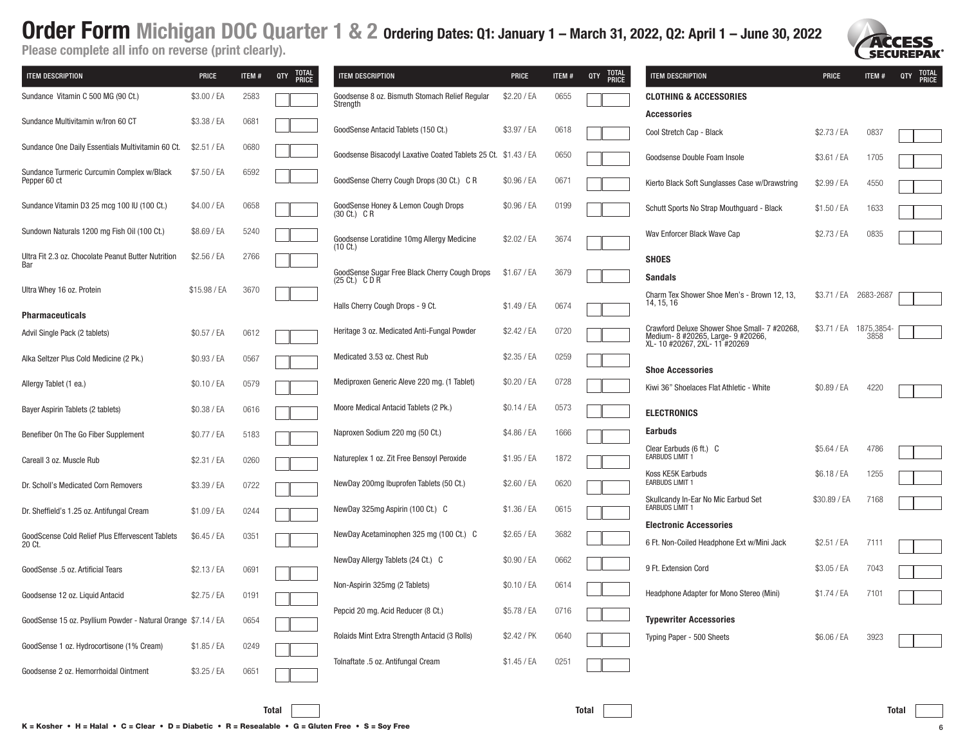Please complete all info on reverse (print clearly).

| <b>ITEM DESCRIPTION</b>                                       | <b>PRICE</b> | ITEM# | TOTAL<br>PRICE<br>QTY | <b>ITEM DESCRIPTION</b>                                                 | <b>PRICE</b> | ITEM# | TOTAL<br>PRICE<br>QTY | <b>ITEM DESCRIPTION</b>                                             | <b>PRICE</b> | ITEM#                 | TOTAL<br>PRICE<br>QTY |
|---------------------------------------------------------------|--------------|-------|-----------------------|-------------------------------------------------------------------------|--------------|-------|-----------------------|---------------------------------------------------------------------|--------------|-----------------------|-----------------------|
| Sundance Vitamin C 500 MG (90 Ct.)                            | \$3.00 / EA  | 2583  |                       | Goodsense 8 oz. Bismuth Stomach Relief Regular<br>Strength              | \$2.20 / EA  | 0655  |                       | <b>CLOTHING &amp; ACCESSORIES</b>                                   |              |                       |                       |
| Sundance Multivitamin w/Iron 60 CT                            | \$3.38 / EA  | 0681  |                       |                                                                         |              |       |                       | <b>Accessories</b>                                                  |              |                       |                       |
|                                                               |              |       |                       | GoodSense Antacid Tablets (150 Ct.)                                     | \$3.97 / EA  | 0618  |                       | Cool Stretch Cap - Black                                            | \$2.73 / EA  | 0837                  |                       |
| Sundance One Daily Essentials Multivitamin 60 Ct.             | \$2.51 / EA  | 0680  |                       | Goodsense Bisacodyl Laxative Coated Tablets 25 Ct. \$1.43 / EA          |              | 0650  |                       | Goodsense Double Foam Insole                                        | \$3.61 / EA  | 1705                  |                       |
| Sundance Turmeric Curcumin Complex w/Black<br>Pepper 60 ct    | \$7.50 / EA  | 6592  |                       | GoodSense Cherry Cough Drops (30 Ct.) C R                               | \$0.96 / EA  | 067   |                       | Kierto Black Soft Sunglasses Case w/Drawstring                      | \$2.99 / EA  | 4550                  |                       |
| Sundance Vitamin D3 25 mcg 100 IU (100 Ct.)                   | \$4.00 / EA  | 0658  |                       | GoodSense Honey & Lemon Cough Drops<br>$(30 \text{ Ct.}) \text{ C R}$   | \$0.96 / EA  | 0199  |                       | Schutt Sports No Strap Mouthguard - Black                           | \$1.50 / EA  | 1633                  |                       |
| Sundown Naturals 1200 mg Fish Oil (100 Ct.)                   | \$8.69 / EA  | 5240  |                       | Goodsense Loratidine 10mg Allergy Medicine<br>$(10 \text{ C}t.)$        | \$2.02 / EA  | 3674  |                       | Wav Enforcer Black Wave Cap                                         | \$2.73 / EA  | 0835                  |                       |
| Ultra Fit 2.3 oz. Chocolate Peanut Butter Nutrition<br>Bar    | \$2.56 / EA  | 2766  |                       |                                                                         |              |       |                       | <b>SHOES</b>                                                        |              |                       |                       |
|                                                               |              |       |                       | GoodSense Sugar Free Black Cherry Cough Drops<br>$(25 \text{ Ct.})$ CDR | \$1.67 / EA  | 3679  |                       | <b>Sandals</b>                                                      |              |                       |                       |
| Ultra Whey 16 oz. Protein                                     | \$15.98 / EA | 3670  |                       | Halls Cherry Cough Drops - 9 Ct.                                        | \$1.49 / EA  | 0674  |                       | Charm Tex Shower Shoe Men's - Brown 12, 13.<br>14, 15, 16           |              | \$3.71 / EA 2683-2687 |                       |
| <b>Pharmaceuticals</b>                                        |              |       |                       |                                                                         |              |       |                       | Crawford Deluxe Shower Shoe Small- 7 #20268,                        |              | \$3.71 / EA 1875,3854 |                       |
| Advil Single Pack (2 tablets)                                 | \$0.57 / EA  | 0612  |                       | Heritage 3 oz. Medicated Anti-Fungal Powder                             | \$2.42 / EA  | 0720  |                       | Medium- 8 #20265, Large- 9 #20266,<br>XL-10 #20267, 2XL-11 #20269   |              | 3858                  |                       |
| Alka Seltzer Plus Cold Medicine (2 Pk.)                       | \$0.93 / EA  | 0567  |                       | Medicated 3.53 oz. Chest Rub                                            | \$2.35 / EA  | 0259  |                       |                                                                     |              |                       |                       |
| Allergy Tablet (1 ea.)                                        | \$0.10 / EA  | 0579  |                       | Mediproxen Generic Aleve 220 mg. (1 Tablet)                             | \$0.20 / EA  | 0728  |                       | <b>Shoe Accessories</b><br>Kiwi 36" Shoelaces Flat Athletic - White | \$0.89 / EA  | 4220                  |                       |
| Bayer Aspirin Tablets (2 tablets)                             | \$0.38 / EA  | 0616  |                       | Moore Medical Antacid Tablets (2 Pk.)                                   | \$0.14 / EA  | 0573  |                       | <b>ELECTRONICS</b>                                                  |              |                       |                       |
| Benefiber On The Go Fiber Supplement                          | \$0.77 / EA  | 5183  |                       | Naproxen Sodium 220 mg (50 Ct.)                                         | \$4.86 / EA  | 1666  |                       | <b>Earbuds</b>                                                      |              |                       |                       |
| Careall 3 oz. Muscle Rub                                      | \$2.31 / EA  | 0260  |                       | Natureplex 1 oz. Zit Free Bensoyl Peroxide                              | \$1.95 / EA  | 1872  |                       | Clear Earbuds (6 ft.) C<br>EARBUDS LIMIT 1                          | \$5.64 / EA  | 4786                  |                       |
| Dr. Scholl's Medicated Corn Removers                          | \$3.39 / EA  | 0722  |                       | NewDay 200mg Ibuprofen Tablets (50 Ct.)                                 | \$2.60 / EA  | 0620  |                       | Koss KE5K Earbuds<br><b>EARBUDS LIMIT 1</b>                         | \$6.18 / EA  | 1255                  |                       |
| Dr. Sheffield's 1.25 oz. Antifungal Cream                     | \$1.09 / EA  | 0244  |                       | NewDay 325mg Aspirin (100 Ct.) C                                        | \$1.36 / EA  | 0615  |                       | Skullcandy In-Ear No Mic Earbud Set<br><b>EARBUDS LIMIT 1</b>       | \$30.89 / EA | 7168                  |                       |
|                                                               |              |       |                       |                                                                         |              |       |                       | <b>Electronic Accessories</b>                                       |              |                       |                       |
| GoodScense Cold Relief Plus Effervescent Tablets<br>20 Ct.    | \$6.45 / EA  | 0351  |                       | NewDay Acetaminophen 325 mg (100 Ct.) C                                 | \$2.65 / EA  | 3682  |                       | 6 Ft. Non-Coiled Headphone Ext w/Mini Jack                          | \$2.51 / EA  | 7111                  |                       |
| GoodSense .5 oz. Artificial Tears                             | \$2.13 / EA  | 0691  |                       | NewDay Allergy Tablets (24 Ct.) C                                       | \$0.90 / EA  | 0662  |                       | 9 Ft. Extension Cord                                                | \$3.05 / EA  | 7043                  |                       |
| Goodsense 12 oz. Liquid Antacid                               | \$2.75 / EA  | 0191  |                       | Non-Aspirin 325mg (2 Tablets)                                           | \$0.10 / EA  | 0614  |                       | Headphone Adapter for Mono Stereo (Mini)                            | \$1.74 / EA  | 7101                  |                       |
| GoodSense 15 oz. Psyllium Powder - Natural Orange \$7.14 / EA |              | 0654  |                       | Pepcid 20 mg. Acid Reducer (8 Ct.)                                      | \$5.78 / EA  | 0716  |                       | <b>Typewriter Accessories</b>                                       |              |                       |                       |
|                                                               |              |       |                       | Rolaids Mint Extra Strength Antacid (3 Rolls)                           | \$2.42 / PK  | 0640  |                       | Typing Paper - 500 Sheets                                           | \$6.06 / EA  | 3923                  |                       |
| GoodSense 1 oz. Hydrocortisone (1% Cream)                     | \$1.85 / EA  | 0249  |                       | Tolnaftate .5 oz. Antifungal Cream                                      | \$1.45 / EA  | 0251  |                       |                                                                     |              |                       |                       |
| Goodsense 2 oz. Hemorrhoidal Ointment                         | \$3.25 / EA  | 0651  |                       |                                                                         |              |       |                       |                                                                     |              |                       |                       |



**SECUREPAK**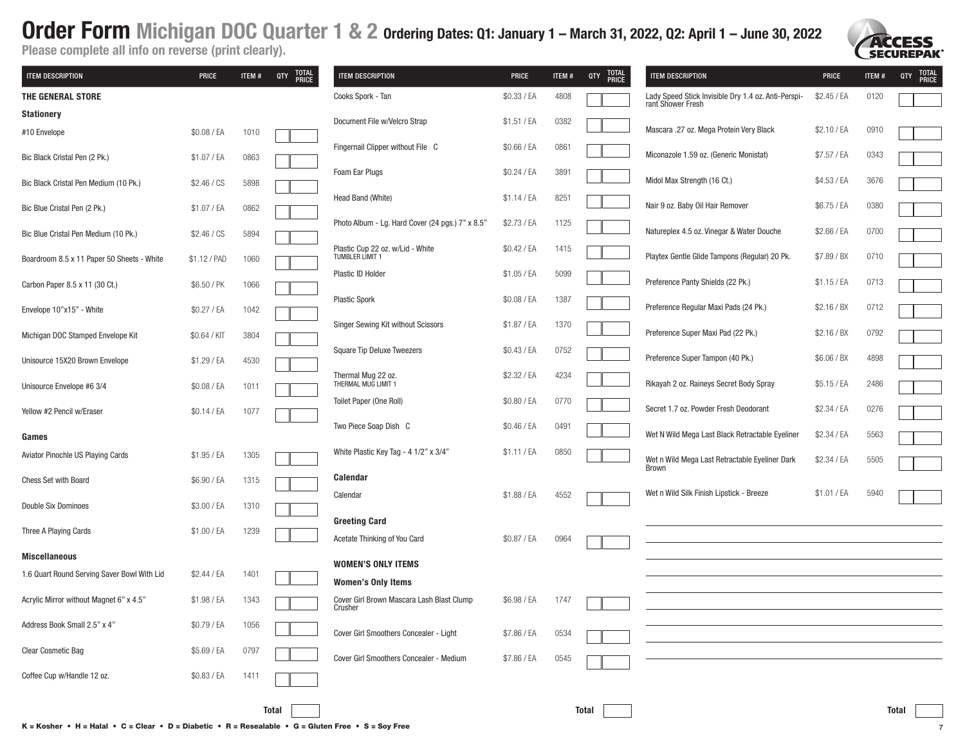

Please complete all info on reverse (print clearly).

| <b>ITEM DESCRIPTION</b>                     | <b>PRICE</b> | ITEM# | <b>TOTAL<br/>PRICE</b><br>QTY | <b>ITEM DESCRIPTION</b>                                | <b>PRICE</b> | ITEM# | <b>TOTAL</b><br>PRICE<br>QTY | <b>ITEM DESCRIPTION</b>                                                  | <b>PRICE</b> | ITEM# | <b>TOTAL<br/>PRICE</b><br>QTY |
|---------------------------------------------|--------------|-------|-------------------------------|--------------------------------------------------------|--------------|-------|------------------------------|--------------------------------------------------------------------------|--------------|-------|-------------------------------|
| THE GENERAL STORE                           |              |       |                               | Cooks Spork - Tan                                      | \$0.33 / EA  | 4808  |                              | Lady Speed Stick Invisible Dry 1.4 oz. Anti-Perspi-<br>rant Shower Fresh | \$2.45 / EA  | 0120  |                               |
| <b>Stationery</b>                           |              |       |                               | Document File w/Velcro Strap                           | \$1.51 / EA  | 0382  |                              |                                                                          |              |       |                               |
| #10 Envelope                                | \$0.08 / EA  | 1010  |                               |                                                        |              |       |                              | Mascara .27 oz. Mega Protein Very Black                                  | \$2.10 / EA  | 0910  |                               |
| Bic Black Cristal Pen (2 Pk.)               | \$1.07 / EA  | 0863  |                               | Fingernail Clipper without File C                      | \$0.66 / EA  | 0861  |                              | Miconazole 1.59 oz. (Generic Monistat)                                   | \$7.57 / EA  | 0343  |                               |
| Bic Black Cristal Pen Medium (10 Pk.)       | \$2.46 / CS  | 5898  |                               | Foam Ear Plugs                                         | \$0.24 / EA  | 3891  |                              | Midol Max Strength (16 Ct.)                                              | \$4.53 / EA  | 3676  |                               |
| Bic Blue Cristal Pen (2 Pk.)                | \$1.07 / EA  | 0862  |                               | Head Band (White)                                      | $$1.14$ / EA | 8251  |                              | Nair 9 oz. Baby Oil Hair Remover                                         | \$6.75 / EA  | 0380  |                               |
| Bic Blue Cristal Pen Medium (10 Pk.)        | \$2.46 / CS  | 5894  |                               | Photo Album - Lg. Hard Cover (24 pgs.) 7" x 8.5"       | \$2.73 / EA  | 1125  |                              | Natureplex 4.5 oz. Vinegar & Water Douche                                | \$2.66 / EA  | 0700  |                               |
| Boardroom 8.5 x 11 Paper 50 Sheets - White  | \$1.12 / PAD | 1060  |                               | Plastic Cup 22 oz. w/Lid - White<br>TUMBLER LIMIT 1    | \$0.42 / EA  | 1415  |                              | Playtex Gentle Glide Tampons (Regular) 20 Pk.                            | \$7.89 / BX  | 0710  |                               |
| Carbon Paper 8.5 x 11 (30 Ct.)              | \$6.50 / PK  | 1066  |                               | Plastic ID Holder                                      | \$1.05 / EA  | 5099  |                              | Preference Panty Shields (22 Pk.)                                        | \$1.15 / EA  | 0713  |                               |
| Envelope 10"x15" - White                    | \$0.27 / EA  | 1042  |                               | <b>Plastic Spork</b>                                   | \$0.08 / EA  | 1387  |                              | Preference Regular Maxi Pads (24 Pk.)                                    | \$2.16 / BX  | 0712  |                               |
| Michigan DOC Stamped Envelope Kit           | \$0.64 / KIT | 3804  |                               | Singer Sewing Kit without Scissors                     | \$1.87 / EA  | 1370  |                              | Preference Super Maxi Pad (22 Pk.)                                       | \$2.16 / BX  | 0792  |                               |
| Unisource 15X20 Brown Envelope              | \$1.29 / EA  | 4530  |                               | <b>Square Tip Deluxe Tweezers</b>                      | \$0.43 / EA  | 0752  |                              | Preference Super Tampon (40 Pk.)                                         | \$6.06 / BX  | 4898  |                               |
| Unisource Envelope #6 3/4                   | \$0.08 / EA  | 1011  |                               | Thermal Mug 22 oz.<br>THERMAL MUG LIMIT 1              | \$2.32 / EA  | 4234  |                              | Rikayah 2 oz. Raineys Secret Body Spray                                  | \$5.15 / EA  | 2486  |                               |
| Yellow #2 Pencil w/Eraser                   | \$0.14 / EA  | 1077  |                               | Toilet Paper (One Roll)                                | \$0.80 / EA  | 0770  |                              | Secret 1.7 oz. Powder Fresh Deodorant                                    | \$2.34 / EA  | 0276  |                               |
| Games                                       |              |       |                               | Two Piece Soap Dish C                                  | \$0.46 / EA  | 0491  |                              | Wet N Wild Mega Last Black Retractable Eyeliner                          | \$2.34 / EA  | 5563  |                               |
| Aviator Pinochle US Playing Cards           | \$1.95 / EA  | 1305  |                               | White Plastic Key Tag - 4 1/2" x 3/4"                  | \$1.11 / EA  | 0850  |                              | Wet n Wild Mega Last Retractable Eyeliner Dark<br>Brown                  | \$2.34 / EA  | 5505  |                               |
| <b>Chess Set with Board</b>                 | \$6.90 / EA  | 1315  |                               | <b>Calendar</b>                                        |              |       |                              | Wet n Wild Silk Finish Lipstick - Breeze                                 | \$1.01 / EA  | 5940  |                               |
| Double Six Dominoes                         | \$3.00 / EA  | 1310  |                               | Calendar                                               | \$1.88 / EA  | 4552  |                              |                                                                          |              |       |                               |
| Three A Playing Cards                       | \$1.00 / EA  | 1239  |                               | <b>Greeting Card</b><br>Acetate Thinking of You Card   | \$0.87 / EA  | 0964  |                              |                                                                          |              |       |                               |
| <b>Miscellaneous</b>                        |              |       |                               |                                                        |              |       |                              |                                                                          |              |       |                               |
| 1.6 Quart Round Serving Saver Bowl With Lid | \$2.44 / EA  | 1401  |                               | <b>WOMEN'S ONLY ITEMS</b><br><b>Women's Only Items</b> |              |       |                              |                                                                          |              |       |                               |
| Acrylic Mirror without Magnet 6" x 4.5"     | \$1.98 / EA  | 1343  |                               | Cover Girl Brown Mascara Lash Blast Clump<br>Crusher   | \$6.98 / EA  | 1747  |                              |                                                                          |              |       |                               |
| Address Book Small 2.5" x 4"                | \$0.79 / EA  | 1056  |                               | Cover Girl Smoothers Concealer - Light                 | \$7.86 / EA  | 0534  |                              |                                                                          |              |       |                               |
| Clear Cosmetic Bag                          | \$5.69 / EA  | 0797  |                               | Cover Girl Smoothers Concealer - Medium                | \$7.86 / EA  | 0545  |                              |                                                                          |              |       |                               |
| Coffee Cup w/Handle 12 oz.                  | \$0.83 / EA  | 1411  |                               |                                                        |              |       |                              |                                                                          |              |       |                               |

K = Kosher • H = Halal • C = Clear • D = Diabetic • R = Resealable • G = Gluten Free • S = Soy Free 7